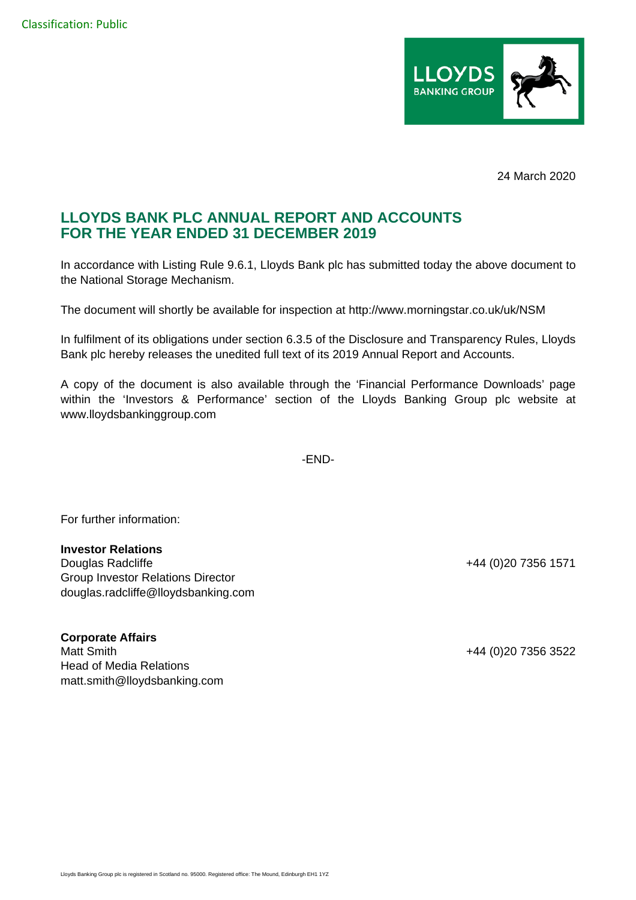

24 March 2020

## **LLOYDS BANK PLC ANNUAL REPORT AND ACCOUNTS FOR THE YEAR ENDED 31 DECEMBER 2019**

In accordance with Listing Rule 9.6.1, Lloyds Bank plc has submitted today the above document to the National Storage Mechanism.

The document will shortly be available for inspection at http://www.morningstar.co.uk/uk/NSM

In fulfilment of its obligations under section 6.3.5 of the Disclosure and Transparency Rules, Lloyds Bank plc hereby releases the unedited full text of its 2019 Annual Report and Accounts.

A copy of the document is also available through the 'Financial Performance Downloads' page within the 'Investors & Performance' section of the Lloyds Banking Group plc website at www.lloydsbankinggroup.com

-END-

For further information:

## **Investor Relations**

Douglas Radcliffe +44 (0)20 7356 1571 Group Investor Relations Director douglas.radcliffe@lloydsbanking.com

**Corporate Affairs**  Matt Smith +44 (0)20 7356 3522 Head of Media Relations matt.smith@lloydsbanking.com